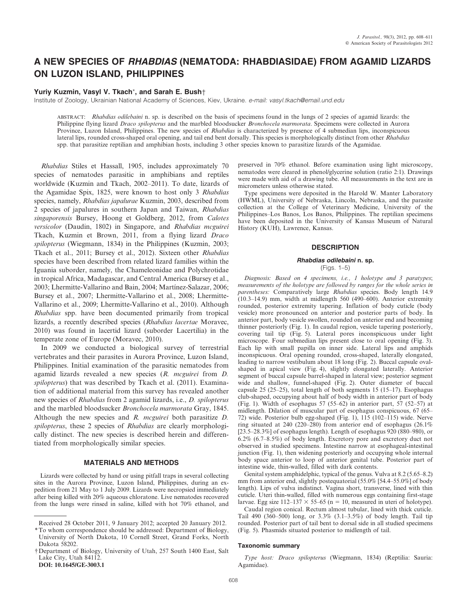# A NEW SPECIES OF RHABDIAS (NEMATODA: RHABDIASIDAE) FROM AGAMID LIZARDS ON LUZON ISLAND, PHILIPPINES

# Yuriy Kuzmin, Vasyl V. Tkach\*, and Sarah E. Bush-

Institute of Zoology, Ukrainian National Academy of Sciences, Kiev, Ukraine. e-mail: vasyl.tkach@email.und.edu

ABSTRACT: Rhabdias odilebaini n. sp. is described on the basis of specimens found in the lungs of 2 species of agamid lizards: the Philippine flying lizard Draco spilopterus and the marbled bloodsucker Bronchocela marmorata. Specimens were collected in Aurora Province, Luzon Island, Philippines. The new species of Rhabdias is characterized by presence of 4 submedian lips, inconspicuous lateral lips, rounded cross-shaped oral opening, and tail end bent dorsally. This species is morphologically distinct from other Rhabdias spp. that parasitize reptilian and amphibian hosts, including 3 other species known to parasitize lizards of the Agamidae.

Rhabdias Stiles et Hassall, 1905, includes approximately 70 species of nematodes parasitic in amphibians and reptiles worldwide (Kuzmin and Tkach, 2002–2011). To date, lizards of the Agamidae Spix, 1825, were known to host only 3 Rhabdias species, namely, Rhabdias japalurae Kuzmin, 2003, described from 2 species of japalures in southern Japan and Taiwan, Rhabdias singaporensis Bursey, Hoong et Goldberg, 2012, from Calotes versicolor (Daudin, 1802) in Singapore, and Rhabdias mcguirei Tkach, Kuzmin et Brown, 2011, from a flying lizard Draco spilopterus (Wiegmann, 1834) in the Philippines (Kuzmin, 2003; Tkach et al., 2011; Bursey et al., 2012). Sixteen other Rhabdias species have been described from related lizard families within the Iguania suborder, namely, the Chameleonidae and Polychrotidae in tropical Africa, Madagascar, and Central America (Bursey et al., 2003; Lhermitte-Vallarino and Bain, 2004; Martínez-Salazar, 2006; Bursey et al., 2007; Lhermitte-Vallarino et al., 2008; Lhermitte-Vallarino et al., 2009; Lhermitte-Vallarino et al., 2010). Although Rhabdias spp. have been documented primarily from tropical lizards, a recently described species (Rhabdias lacertae Moravec, 2010) was found in lacertid lizard (suborder Lacertilia) in the temperate zone of Europe (Moravec, 2010).

In 2009 we conducted a biological survey of terrestrial vertebrates and their parasites in Aurora Province, Luzon Island, Philippines. Initial examination of the parasitic nematodes from agamid lizards revealed a new species (R. mcguirei from D. spilopterus) that was described by Tkach et al. (2011). Examination of additional material from this survey has revealed another new species of Rhabdias from 2 agamid lizards, i.e., D. spilopterus and the marbled bloodsucker Bronchocela marmorata Gray, 1845. Although the new species and R. mcguirei both parasitize D. spilopterus, these 2 species of Rhabdias are clearly morphologically distinct. The new species is described herein and differentiated from morphologically similar species.

# MATERIALS AND METHODS

Lizards were collected by hand or using pitfall traps in several collecting sites in the Aurora Province, Luzon Island, Philippines, during an expedition from 21 May to 1 July 2009. Lizards were necropsied immediately after being killed with 20% aqueous chloratone. Live nematodes recovered from the lungs were rinsed in saline, killed with hot 70% ethanol, and

DOI: 10.1645/GE-3003.1

preserved in 70% ethanol. Before examination using light microscopy, nematodes were cleared in phenol/glycerine solution (ratio 2:1). Drawings were made with aid of a drawing tube. All measurements in the text are in micrometers unless otherwise stated.

Type specimens were deposited in the Harold W. Manter Laboratory (HWML), University of Nebraska, Lincoln, Nebraska, and the parasite collection at the College of Veterinary Medicine, University of the Philippines–Los Banos, Los Banos, Philippines. The reptilian specimens have been deposited in the University of Kansas Museum of Natural History (KUH), Lawrence, Kansas.

### **DESCRIPTION**

### Rhabdias odilebaini n. sp.

(Figs. 1–5)

Diagnosis: Based on 4 specimens, i.e., 1 holotype and 3 paratypes; measurements of the holotype are followed by ranges for the whole series in parentheses: Comparatively large Rhabdias species. Body length 14.9 (10.3–14.9) mm, width at midlength 560 (490–600). Anterior extremity rounded, posterior extremity tapering. Inflation of body cuticle (body vesicle) more pronounced on anterior and posterior parts of body. In anterior part, body vesicle swollen, rounded on anterior end and becoming thinner posteriorly (Fig. 1). In caudal region, vesicle tapering posteriorly, covering tail tip (Fig. 5). Lateral pores inconspicuous under light microscope. Four submedian lips present close to oral opening (Fig. 3). Each lip with small papilla on inner side. Lateral lips and amphids inconspicuous. Oral opening rounded, cross-shaped, laterally elongated, leading to narrow vestibulum about 18 long (Fig. 2). Buccal capsule ovalshaped in apical view (Fig. 4), slightly elongated laterally. Anterior segment of buccal capsule barrel-shaped in lateral view; posterior segment wide and shallow, funnel-shaped (Fig. 2). Outer diameter of buccal capsule 25 (25–25), total length of both segments 15 (15–17). Esophagus club-shaped, occupying about half of body width in anterior part of body (Fig. 1). Width of esophagus 57 (55–62) in anterior part, 57 (52–57) at midlength. Dilation of muscular part of esophagus conspicuous, 67 (65– 72) wide. Posterior bulb egg-shaped (Fig. 1), 115 (102–115) wide. Nerve ring situated at 240 (220–280) from anterior end of esophagus (26.1% [23.5–28.3%] of esophagus length). Length of esophagus 920 (880–980), or 6.2% (6.7–8.5%) of body length. Excretory pore and excretory duct not observed in studied specimens. Intestine narrow at esophageal-intestinal junction (Fig. 1), then widening posteriorly and occupying whole internal body space anterior to loop of anterior genital tube. Posterior part of intestine wide, thin-walled, filled with dark contents.

Genital system amphidelphic, typical of the genus. Vulva at 8.2 (5.65–8.2) mm from anterior end, slightly postequatorial (55.0% [54.4–55.0%] of body length). Lips of vulva indistinct. Vagina short, transverse, lined with thin cuticle. Uteri thin-walled, filled with numerous eggs containing first-stage larvae. Egg size  $112-137 \times 55-65$  (n = 10, measured in uteri of holotype).

Caudal region conical. Rectum almost tubular, lined with thick cuticle. Tail 490 (360–500) long, or  $3.3\%$  (3.1–3.5%) of body length. Tail tip rounded. Posterior part of tail bent to dorsal side in all studied specimens (Fig. 5). Phasmids situated posterior to midlength of tail.

#### Taxonomic summary

Type host: Draco spilopterus (Wiegmann, 1834) (Reptilia: Sauria: Agamidae).

Received 28 October 2011, 9 January 2012; accepted 20 January 2012.

<sup>\*</sup> To whom correspondence should be addressed: Department of Biology, University of North Dakota, 10 Cornell Street, Grand Forks, North Dakota 58202.

<sup>{</sup>Department of Biology, University of Utah, 257 South 1400 East, Salt Lake City, Utah 84112.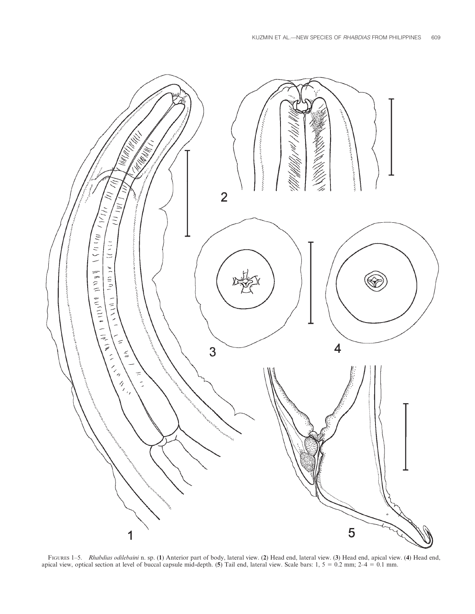

FIGURES 1-5. Rhabdias odilebaini n. sp. (1) Anterior part of body, lateral view. (2) Head end, lateral view. (3) Head end, apical view. (4) Head end, apical view, optical section at level of buccal capsule mid-depth. (5) Tail end, lateral view. Scale bars:  $1, 5 = 0.2$  mm;  $2-4 = 0.1$  mm.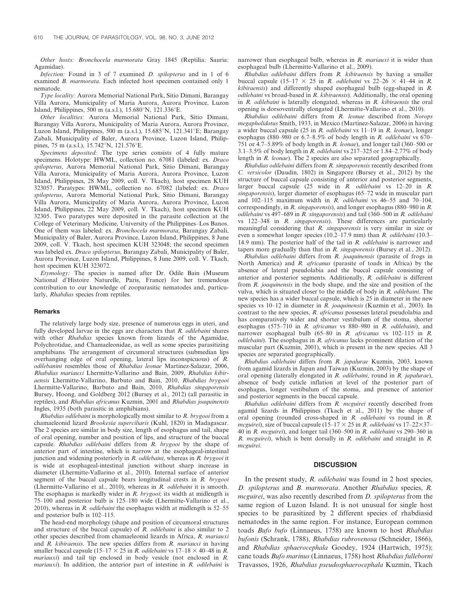Other hosts: Bronchocela marmorata Gray 1845 (Reptilia: Sauria: Agamidae).

Infection: Found in 3 of 7 examined D. spilopterus and in 1 of 6 examined B. marmorata. Each infected host specimen contained only 1 nematode.

Type locality: Aurora Memorial National Park, Sitio Dimani, Barangay Villa Aurora, Municipality of Maria Aurora, Aurora Province, Luzon Island, Philippines, 500 m (a.s.l.), 15.680°N, 121.336°E.

Other localities: Aurora Memorial National Park, Sitio Dimani, Barangay Villa Aurora, Municipality of Maria Aurora, Aurora Province, Luzon Island, Philippines, 500 m (a.s.l.),  $15.685^{\circ}N$ ,  $121.341^{\circ}E$ ; Barangay Zabali, Municipality of Baler, Aurora Province, Luzon Island, Philippines, 75 m (a.s.l.), 15.742°N, 121.576°E.

Specimens deposited: The type series consists of 4 fully mature specimens. Holotype: HWML, collection no. 67081 (labeled: ex. Draco spilopterus, Aurora Memorial National Park, Sitio Dimani, Barangay Villa Aurora, Municipality of Maria Aurora, Aurora Province, Luzon Island, Philippines, 28 May 2009, coll. V. Tkach), host specimen KUH 323057. Paratypes: HWML, collection no. 67082 (labeled: ex. Draco spilopterus, Aurora Memorial National Park, Sitio Dimani, Barangay Villa Aurora, Municipality of Maria Aurora, Aurora Province, Luzon Island, Philippines, 22 May 2009, coll. V. Tkach), host specimen KUH 32305. Two paratypes were deposited in the parasite collection at the College of Veterinary Medicine, University of the Philippines–Los Banos. One of them was labeled: ex. Bronchocela marmorata, Barangay Zabali, Municipality of Baler, Aurora Province, Luzon Island, Philippines, 8 June 2009, coll. V. Tkach, host specimen KUH 323048; the second specimen was labeled ex. Draco spilopterus, Barangay Zabali, Municipality of Baler, Aurora Province, Luzon Island, Philippines, 8 June 2009, coll. V. Tkach, host specimen KUH 323072.

Etymology: The species is named after Dr. Odile Bain (Museum National d'Histoire Naturelle, Paris, France) for her tremendous contribution to our knowledge of zooparasitic nematodes and, particularly, Rhabdias species from reptiles.

#### Remarks

The relatively large body size, presence of numerous eggs in uteri, and fully developed larvae in the eggs are characters that  $R$ . *odilebaini* shares with other Rhabdias species known from lizards of the Agamidae, Polychrotidae, and Chamaeleonidae, as well as some species parasitizing amphibians. The arrangement of circumoral structures (submedian lips overhanging edge of oral opening, lateral lips inconspicuous) of R. odilebanini resembles those of Rhabdias leonae Martinez-Salazar, 2006, Rhabdias mariauxi Lhermitte-Vallarino and Bain, 2009, Rhabdias kibiraensis Lhermitte-Vallarino, Barbuto and Bain, 2010, Rhabdias brygooi Lhermitte-Vallarino, Barbuto and Bain, 2010, Rhabdias singaporensis Bursey, Hoong, and Goldberg 2012 (Bursey et al., 2012) (all parasitic in reptiles), and Rhabdias africanus Kuzmin, 2001 and Rhabdias joaquinensis Ingles, 1935 (both parasitic in amphibians).

Rhabdias odilebaini is morphologically most similar to R. brygooi from a chamaeleonid lizard Brookesia superciliaris (Kuhl, 1820) in Madagascar. The 2 species are similar in body size, length of esophagus and tail, shape of oral opening, number and position of lips, and structure of the buccal capsule. Rhabdias odilebaini differs from R. brygooi by the shape of anterior part of intestine, which is narrow at the esophageal-intestinal junction and widening posteriorly in  $R$ . *odilebaini*, whereas in  $R$ . *brygooi* it is wide at esophageal-intestinal junction without sharp increase in diameter (Lhermitte-Vallarino et al., 2010). Internal surface of anterior segment of the buccal capsule bears longitudinal crests in R. brygooi (Lhermitte-Vallarino et al., 2010), whereas in R. odilebaini it is smooth. The esophagus is markedly wider in R. brygooi; its width at midlength is 75–100 and posterior bulb is 125–180 wide (Lhermitte-Vallarino et al., 2010), whereas in  $R$ . *odilebaini* the esophagus width at midlength is 52–55 and posterior bulb is 102–115.

The head-end morphology (shape and position of circumoral structures and structure of the buccal capsule) of R. odilebaini is also similar to 2 other species described from chamaeleonid lizards in Africa, R. mariauxi and R. kibiraensis. The new species differs from R. mariauxi in having smaller buccal capsule (15–17  $\times$  25 in *R. odilebaini* vs 17–18  $\times$  40–48 in *R.* mariauxi) and tail tip enclosed in body vesicle (not enclosed in R. mariauxi). In addition, the anterior part of intestine in R. odilebaini is narrower than esophageal bulb, whereas in R. mariauxi it is wider than esophageal bulb (Lhermitte-Vallarino et al., 2009).

Rhabdias odilebaini differs from R. kibiraensis by having a smaller buccal capsule (15–17  $\times$  25 in R. odilebaini vs 22–26  $\times$  41–44 in R. kibiraensis) and differently shaped esophageal bulb (egg-shaped in R.  $odilebaini$  vs broad-based in  $R.$  kibiraensis). Additionally, the oral opening in R. odilebaini is laterally elongated, whereas in R. kibiraensis the oral opening is dorsoventrally elongated (Lhermitte-Vallarino et al., 2010).

Rhabdias odilebaini differs from R. leonae described from Norops megapholidotus Smith, 1933, in Mexico (Martínez-Salazar, 2006) in having a wider buccal capsule (25 in R. odilebaini vs 11–19 in R. leonae), longer esophagus (880–980 or 6.7–8.5% of body length in R. odilebaini vs 670– 751 or 4.7–5.89% of body length in R. leonae), and longer tail (360–500 or 3.1–3.5% of body length in R. odilebaini vs 217–325 or 1.84–2.77% of body length in R. leonae). The 2 species are also separated geographically.

Rhabdias odilebaini differs from R. singaporensis recently described from C. versicolor (Daudin, 1802) in Singapore (Bursey et al., 2012) by the structure of buccal capsule consisting of anterior and posterior segments, larger buccal capsule (25 wide in R. odilebaini vs 12–20 in R. singaporensis), larger diameter of esophagus (65–72 wide in muscular part and  $102-115$  maximum width in  $\overline{R}$ . *odilebaini* vs 46–55 and 70–104, correspondingly, in R. singaporensis), and longer esophagus (880–980 in R. odilebaini vs 497–689 in R. singaporensis) and tail (360–500 in R. odilebaini vs 122–348 in R. singaporensis). These differences are particularly meaningful considering that R. singaporensis is very similar in size or even a somewhat longer species (10.2–17.9 mm) than R. odilebaini (10.3– 14.9 mm). The posterior half of the tail in R. *odilebaini* is narrower and tapers more gradually than that in  $R$ . singaporensis (Bursey et al., 2012).

Rhabdias odilebaini differs from R. joaquinensis (parasite of frogs in North America) and R. africanus (parasite of toads in Africa) by the absence of lateral pseudolabia and the buccal capsule consisting of anterior and posterior segments. Additionally, R. odilebaini is different from R. joaquinensis in the body shape, and the size and position of the vulva, which is situated closer to the middle of body in R. odilebaini. The new species has a wider buccal capsule, which is 25 in diameter in the new species vs  $10-12$  in diameter in  $\overline{R}$ . joaquinensis (Kuzmin et al., 2003). In contrast to the new species, R. africanus possesses lateral pseudolabia and has comparatively wider and shorter vestibulum of the stoma, shorter esophagus (575–710 in R. africanus vs 880–980 in R. odilebaini), and narrower esophageal bulb (65–80 in R. africanus vs 102–115 in R.  $odilebaini$ ). The esophagus in  $R$ . africanus lacks prominent dilation of the muscular part (Kuzmin, 2001), which is present in the new species. All 3 species are separated geographically.

Rhabdias odilebaini differs from R. japalurae Kuzmin, 2003, known from agamid lizards in Japan and Taiwan (Kuzmin, 2003) by the shape of oral opening (laterally elongated in R. odilebaini, round in R. japalurae), absence of body cuticle inflation at level of the posterior part of esophagus, longer vestibulum of the stoma, and presence of anterior and posterior segments in the buccal capsule.

Rhabdias odilebaini differs from R. mcguirei recently described from agamid lizards in Philippines (Tkach et al., 2011) by the shape of oral opening (rounded cross-shaped in R. odilebaini vs round in R. mcguirei), size of buccal capsule (15–17  $\times$  25 in R. odilebaini vs 17–22 $\times$ 37– 40 in R. mcguirei), and longer tail (360–500 in R. odilebaini vs 290–360 in R. mcguirei), which is bent dorsally in R. odilebaini and straight in R. mcguirei.

# **DISCUSSION**

In the present study, R. *odilebaini* was found in 2 host species, D. spilopterus and B. marmorata. Another Rhabdias species, R. mcguirei, was also recently described from *D. spilopterus* from the same region of Luzon Island. It is not unusual for single host species to be parasitized by 2 different species of rhabdiasid nematodes in the same region. For instance, European common toads Bufo bufo (Linnaeus, 1758) are known to host Rhabdias bufonis (Schrank, 1788), Rhabdias rubrovenosa (Schneider, 1866), and Rhabdias sphaerocephala Goodey, 1924 (Hartwich, 1975); cane toads Bufo marinus (Linnaeus, 1758) host Rhabdias fulleborni Travassos, 1926, Rhabdias pseudosphaerocephala Kuzmin, Tkach